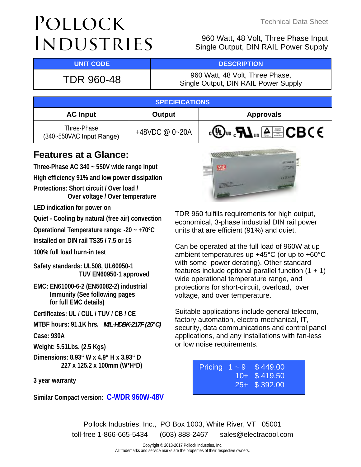# POLLOCK INDUSTRIES

## Technical Data Sheet

960 Watt, 48 Volt, Three Phase Input Single Output, DIN RAIL Power Supply

## **UNIT CODE And I DESCRIPTION**

TDR 960-48 960 Watt, 48 Volt, Three Phase, Single Output, DIN RAIL Power Supply

| <b>SPECIFICATIONS</b>                   |                    |                                          |  |  |
|-----------------------------------------|--------------------|------------------------------------------|--|--|
| <b>AC Input</b>                         | Output             | <b>Approvals</b>                         |  |  |
| Three-Phase<br>(340~550VAC Input Range) | +48VDC @ $0 - 20A$ | . <sup>ரு</sup> "ஃ <i>H</i> J மாதி CBC € |  |  |

## **Features at a Glance:**

**Three-Phase AC 340 ~ 550V wide range input High efficiency 91% and low power dissipation Protections: Short circuit / Over load / Over voltage / Over temperature**

**LED indication for power on** 

**Quiet - Cooling by natural (free air) convection**

**Operational Temperature range: -20 ~ +70ºC** 

**Installed on DIN rail TS35 / 7.5 or 15** 

**100% full load burn-in test** 

**Safety standards: UL508, UL60950-1 TUV EN60950-1 approved** 

**EMC: EN61000-6-2 (EN50082-2) industrial Immunity (See following pages for full EMC details)**

**Certificates: UL / CUL / TUV / CB / CE**

**MTBF hours: 91.1K hrs.** *MIL-HDBK-217F (25°C)*

**Case: 930A**

**Weight: 5.51Lbs. (2.5 Kgs)** 

**Dimensions: 8.93" W x 4.9" H x 3.93" D 227 x 125.2 x 100mm (W\*H\*D)** 

**3 year warranty** 

**Similar Compact version[: C-WDR 960W-48V](http://www.electracool.com/CWDR960-48.pdf)**



TDR 960 fulfills requirements for high output, economical, 3-phase industrial DIN rail power units that are efficient (91%) and quiet.

Can be operated at the full load of 960W at up ambient temperatures up +45°C (or up to +60°C with some power derating). Other standard features include optional parallel function  $(1 + 1)$ wide operational temperature range, and protections for short-circuit, overload, over voltage, and over temperature.

Suitable applications include general telecom, factory automation, electro-mechanical, IT, security, data communications and control panel applications, and any installations with fan-less or low noise requirements.

|  | Pricing $1 - 9$ \$449.00 |
|--|--------------------------|
|  | $10+$ \$ 419.50          |
|  | $25 + $ \$ 392.00        |
|  |                          |

Pollock Industries, Inc., PO Box 1003, White River, VT 05001 toll-free 1-866-665-5434 (603) 888-2467 sales@electracool.com

> Copyright © 2013-2017 Pollock Industries, Inc. All trademarks and service marks are the properties of their respective owners.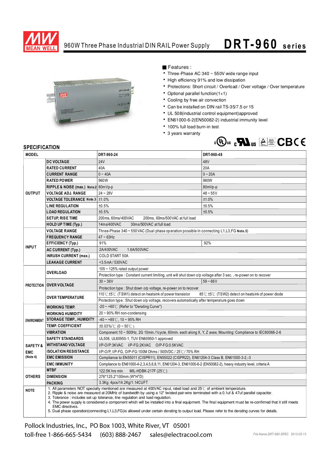

## 960W Three Phase Industrial DIN RAIL Power Supply

## **D R T-9 6 0 se rie s**



Features:

- Three-Phase AC 340 ~ 550V wide range input
- High efficiency 91% and low dissipation
- Protections: Short circuit / Overload / Over voltage / Over temperature
- Optional parallel function(1+1)
- Cooling by free air convection
- Can be installed on DIN rail TS-35/7.5 or 15
- UL 508(industrial control equipment)approved
- EN61000-6-2(EN50082-2) industrial immunity level
- 100% full load burn-in test
- 3 years warranty



## **SPECIFICATION**

| <b>MODEL</b>       |                                                                                                                                                                                                                                                                                                                                                                                                                                                                                                                                                                                                                                                                                       | DRT-960-24                                                                                                        | DRT-960-48 |  |  |
|--------------------|---------------------------------------------------------------------------------------------------------------------------------------------------------------------------------------------------------------------------------------------------------------------------------------------------------------------------------------------------------------------------------------------------------------------------------------------------------------------------------------------------------------------------------------------------------------------------------------------------------------------------------------------------------------------------------------|-------------------------------------------------------------------------------------------------------------------|------------|--|--|
|                    | <b>DC VOLTAGE</b>                                                                                                                                                                                                                                                                                                                                                                                                                                                                                                                                                                                                                                                                     | 24V                                                                                                               | 48V        |  |  |
| <b>OUTPUT</b>      | <b>RATED CURRENT</b>                                                                                                                                                                                                                                                                                                                                                                                                                                                                                                                                                                                                                                                                  | 40A                                                                                                               | 20A        |  |  |
|                    | <b>CURRENT RANGE</b>                                                                                                                                                                                                                                                                                                                                                                                                                                                                                                                                                                                                                                                                  | $0 - 40A$                                                                                                         | $0 - 20A$  |  |  |
|                    | <b>RATED POWER</b>                                                                                                                                                                                                                                                                                                                                                                                                                                                                                                                                                                                                                                                                    | 960W                                                                                                              | 960W       |  |  |
|                    | RIPPLE & NOISE (max.) Note 2 80mVp-p                                                                                                                                                                                                                                                                                                                                                                                                                                                                                                                                                                                                                                                  |                                                                                                                   | 80mVp-p    |  |  |
|                    | <b>VOLTAGE ADJ. RANGE</b>                                                                                                                                                                                                                                                                                                                                                                                                                                                                                                                                                                                                                                                             | $24 - 28V$                                                                                                        | $48 - 55V$ |  |  |
|                    | VOLTAGE TOLERANCE Note.3   ±1.0%                                                                                                                                                                                                                                                                                                                                                                                                                                                                                                                                                                                                                                                      |                                                                                                                   | ±1.0%      |  |  |
|                    | <b>LINE REGULATION</b>                                                                                                                                                                                                                                                                                                                                                                                                                                                                                                                                                                                                                                                                | ±0.5%                                                                                                             | ±0.5%      |  |  |
|                    | <b>LOAD REGULATION</b>                                                                                                                                                                                                                                                                                                                                                                                                                                                                                                                                                                                                                                                                | ±0.5%                                                                                                             | ±0.5%      |  |  |
|                    | <b>SETUP, RISE TIME</b>                                                                                                                                                                                                                                                                                                                                                                                                                                                                                                                                                                                                                                                               | 200 ms, 60 ms/400 VAC<br>200ms, 60ms/500 VAC at full load                                                         |            |  |  |
|                    | <b>HOLD UP TIME (Typ.)</b>                                                                                                                                                                                                                                                                                                                                                                                                                                                                                                                                                                                                                                                            | 30ms/500VAC at full load<br>14ms/400VAC                                                                           |            |  |  |
|                    | <b>VOLTAGE RANGE</b>                                                                                                                                                                                                                                                                                                                                                                                                                                                                                                                                                                                                                                                                  | Three-Phase 340 ~ 550 VAC (Dual phase operation possible in connecting L1, L3, FG Note.5)                         |            |  |  |
|                    | <b>FREQUENCY RANGE</b>                                                                                                                                                                                                                                                                                                                                                                                                                                                                                                                                                                                                                                                                | $47 \sim 63$ Hz                                                                                                   |            |  |  |
|                    | <b>EFFICIENCY (Typ.)</b>                                                                                                                                                                                                                                                                                                                                                                                                                                                                                                                                                                                                                                                              | 91%                                                                                                               | 92%        |  |  |
| <b>INPUT</b>       | <b>AC CURRENT (Typ.)</b>                                                                                                                                                                                                                                                                                                                                                                                                                                                                                                                                                                                                                                                              | 2A/400VAC<br>1.6A/500VAC                                                                                          |            |  |  |
|                    | <b>INRUSH CURRENT (max.)</b>                                                                                                                                                                                                                                                                                                                                                                                                                                                                                                                                                                                                                                                          | COLD START 50A                                                                                                    |            |  |  |
|                    | <b>LEAKAGE CURRENT</b>                                                                                                                                                                                                                                                                                                                                                                                                                                                                                                                                                                                                                                                                | <3.5mA/530VAC                                                                                                     |            |  |  |
|                    | OVERLOAD                                                                                                                                                                                                                                                                                                                                                                                                                                                                                                                                                                                                                                                                              | 105 ~ 125% rated output power                                                                                     |            |  |  |
|                    |                                                                                                                                                                                                                                                                                                                                                                                                                                                                                                                                                                                                                                                                                       | Protection type : Constant current limiting, unit will shut down o/p voltage after 3 sec., re-power on to recover |            |  |  |
|                    | <b>PROTECTION OVER VOLTAGE</b>                                                                                                                                                                                                                                                                                                                                                                                                                                                                                                                                                                                                                                                        | $30 - 36V$                                                                                                        | $59 - 66V$ |  |  |
|                    |                                                                                                                                                                                                                                                                                                                                                                                                                                                                                                                                                                                                                                                                                       | Protection type: Shut down o/p voltage, re-power on to recover                                                    |            |  |  |
|                    | <b>OVER TEMPERATURE</b>                                                                                                                                                                                                                                                                                                                                                                                                                                                                                                                                                                                                                                                               | 110°C $\pm$ 5°C (TSW1) detect on heatsink of power transistor<br>85℃ ±5℃ (TSW2) detect on heatsink of power diode |            |  |  |
|                    |                                                                                                                                                                                                                                                                                                                                                                                                                                                                                                                                                                                                                                                                                       | Protection type : Shut down o/p voltage, recovers automatically after temperature goes down                       |            |  |  |
|                    | <b>WORKING TEMP.</b>                                                                                                                                                                                                                                                                                                                                                                                                                                                                                                                                                                                                                                                                  | $-20 \sim +60^{\circ}$ (Refer to "Derating Curve")                                                                |            |  |  |
|                    | <b>WORKING HUMIDITY</b>                                                                                                                                                                                                                                                                                                                                                                                                                                                                                                                                                                                                                                                               | $20 \sim 90\%$ RH non-condensing                                                                                  |            |  |  |
| <b>ENVIRONMENT</b> | <b>STORAGE TEMP., HUMIDITY</b>                                                                                                                                                                                                                                                                                                                                                                                                                                                                                                                                                                                                                                                        | $-40 \sim +85^{\circ}$ C, 10 ~ 95% RH                                                                             |            |  |  |
|                    | <b>TEMP. COEFFICIENT</b>                                                                                                                                                                                                                                                                                                                                                                                                                                                                                                                                                                                                                                                              | $\pm 0.03\%$ (0 ~ 50°C)                                                                                           |            |  |  |
|                    | <b>VIBRATION</b>                                                                                                                                                                                                                                                                                                                                                                                                                                                                                                                                                                                                                                                                      | Component:10 ~ 500Hz, 2G 10min./1cycle, 60min. each along X, Y, Z axes; Mounting: Compliance to IEC60068-2-6      |            |  |  |
|                    | <b>SAFETY STANDARDS</b>                                                                                                                                                                                                                                                                                                                                                                                                                                                                                                                                                                                                                                                               | UL508, UL60950-1, TUV EN60950-1 approved                                                                          |            |  |  |
| <b>SAFETY&amp;</b> | <b>WITHSTAND VOLTAGE</b>                                                                                                                                                                                                                                                                                                                                                                                                                                                                                                                                                                                                                                                              | I/P-O/P:3KVAC I/P-FG:2KVAC O/P-FG:0.5KVAC                                                                         |            |  |  |
| <b>EMC</b>         | <b>ISOLATION RESISTANCE</b>                                                                                                                                                                                                                                                                                                                                                                                                                                                                                                                                                                                                                                                           | I/P-O/P, I/P-FG, O/P-FG:100M Ohms / 500VDC / 25°C / 70% RH                                                        |            |  |  |
| (Note 4)           | <b>EMC EMISSION</b>                                                                                                                                                                                                                                                                                                                                                                                                                                                                                                                                                                                                                                                                   | Compliance to EN55011 (CISPR11), EN55022 (CISPR22), EN61204-3 Class B, EN61000-3-2,-3                             |            |  |  |
|                    | <b>EMC IMMUNITY</b>                                                                                                                                                                                                                                                                                                                                                                                                                                                                                                                                                                                                                                                                   | Compliance to EN61000-4-2,3,4,5,6,8,11, EN61204-3, EN61000-6-2 (EN50082-2), heavy industry level, criteria A      |            |  |  |
|                    | <b>MTBF</b>                                                                                                                                                                                                                                                                                                                                                                                                                                                                                                                                                                                                                                                                           | 122.5K hrs min.<br>MIL-HDBK-217F $(25^{\circ}$ C)                                                                 |            |  |  |
| <b>OTHERS</b>      | <b>DIMENSION</b>                                                                                                                                                                                                                                                                                                                                                                                                                                                                                                                                                                                                                                                                      | 276*125.2*100mm (W*H*D)                                                                                           |            |  |  |
|                    | 3.3Kg; 4pcs/14.2Kg/1.14CUFT<br><b>PACKING</b>                                                                                                                                                                                                                                                                                                                                                                                                                                                                                                                                                                                                                                         |                                                                                                                   |            |  |  |
| <b>NOTE</b>        | 1. All parameters NOT specially mentioned are measured at 400VAC input, rated load and 25°C of ambient temperature.<br>2. Ripple & noise are measured at 20MHz of bandwidth by using a 12" twisted pair-wire terminated with a 0.1uf & 47uf parallel capacitor.<br>3. Tolerance : includes set up tolerance, line regulation and load regulation.<br>4. The power supply is considered a component which will be installed into a final equipment. The final equipment must be re-confirmed that it still meets<br>EMC directives.<br>5. Dual phase operation(connecting L1,L3,FG) is allowed under certain derating to output load. Please refer to the derating curves for details. |                                                                                                                   |            |  |  |

Pollock Industries, Inc., PO Box 1003, White River, VT 05001 toll-free 1-866-665-5434 (603) 888-2467 sales@electracool.com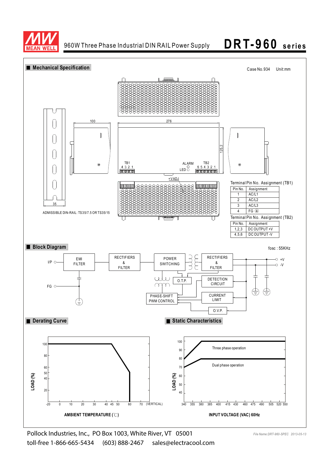